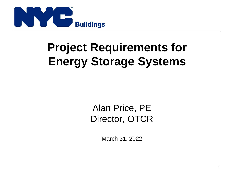

# **Project Requirements for Energy Storage Systems**

Alan Price, PE Director, OTCR

March 31, 2022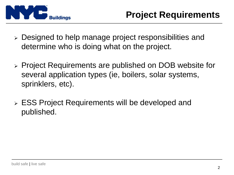

- ➢ Designed to help manage project responsibilities and determine who is doing what on the project.
- ➢ Project Requirements are published on DOB website for several application types (ie, boilers, solar systems, sprinklers, etc).
- ➢ ESS Project Requirements will be developed and published.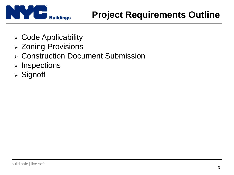

- ➢ Code Applicability
- ➢ Zoning Provisions
- ➢ Construction Document Submission
- ➢ Inspections
- ➢ Signoff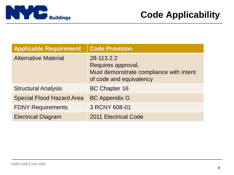

| <b>Applicable Requirement</b>    | <b>Code Provision</b>                                                                                  |
|----------------------------------|--------------------------------------------------------------------------------------------------------|
| <b>Alternative Material</b>      | 28-113.2.2<br>Requires approval,<br>Must demonstrate compliance with intent<br>of code and equivalency |
| <b>Structural Analysis</b>       | <b>BC Chapter 16</b>                                                                                   |
| <b>Special Flood Hazard Area</b> | <b>BC Appendix G</b>                                                                                   |
| <b>FDNY Requirements</b>         | 3 RCNY 608-01                                                                                          |
| <b>Electrical Diagram</b>        | <b>2011 Electrical Code</b>                                                                            |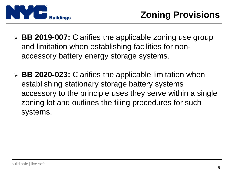

- ➢ **BB 2019-007:** Clarifies the applicable zoning use group and limitation when establishing facilities for nonaccessory battery energy storage systems.
- ➢ **BB 2020-023:** Clarifies the applicable limitation when establishing stationary storage battery systems accessory to the principle uses they serve within a single zoning lot and outlines the filing procedures for such systems.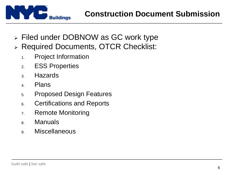

- ➢ Filed under DOBNOW as GC work type
- ➢ Required Documents, OTCR Checklist:
	- 1. Project Information
	- 2. ESS Properties
	- 3. Hazards
	- 4. Plans
	- 5. Proposed Design Features
	- 6. Certifications and Reports
	- 7. Remote Monitoring
	- 8. Manuals
	- 9. Miscellaneous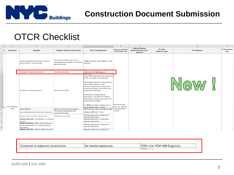

#### **Construction Document Submission**

### OTCR Checklist

|                                       | $\mathbb{A}$ $\mathsf{A}$     | C.                                                                                                       |                                                                                                                                                                                                                                                                                                                                                                                                                                                                                                            |                                                               | G                                                     | н                                                                       |                                       | $\circ$                | P                                     |
|---------------------------------------|-------------------------------|----------------------------------------------------------------------------------------------------------|------------------------------------------------------------------------------------------------------------------------------------------------------------------------------------------------------------------------------------------------------------------------------------------------------------------------------------------------------------------------------------------------------------------------------------------------------------------------------------------------------------|---------------------------------------------------------------|-------------------------------------------------------|-------------------------------------------------------------------------|---------------------------------------|------------------------|---------------------------------------|
| 1 <sup>1</sup>                        | Requirement                   | <b>Description</b>                                                                                       | Objective / Purpose / Scope of review                                                                                                                                                                                                                                                                                                                                                                                                                                                                      | <b>OTCR / Code Requirement</b>                                | <b>Submission required by:</b><br>RDP, Manufact., N/A | <b>Applicant Responses</b><br>(Include document name, if<br>applicable) | <b>File Name</b><br>(Word doc or pdf) | <b>OTCR Objections</b> | <b>OTCR Acceptance</b><br><b>Date</b> |
|                                       |                               | Location and layout of the room or area in<br>which the ESS is to be installed                           | Verification of safe location and no<br>nearby exposures (example like schools, drawings.<br>gas stations etc.)                                                                                                                                                                                                                                                                                                                                                                                            | Please provide all nearby details in the                      |                                                       |                                                                         |                                       |                        |                                       |
| $\begin{array}{c} 2 \\ 3 \end{array}$ |                               | Distances to adjacent construction                                                                       | No nearby exposures.                                                                                                                                                                                                                                                                                                                                                                                                                                                                                       | FDNY rule: RCNY 608-01(g)(1)(c)                               |                                                       |                                                                         |                                       |                        |                                       |
| Site and Battery                      | Distances to nearby equipment | Safe location for ESS                                                                                    | As per FDNY requirement, any equipment<br>within 10 ft needs to be identified.<br>For Rooftops installation: Are there any<br>vents located nearby, or other<br>mechanical equipment, rooftop hatch,<br>intake vent, exhaust. If yes what is the<br>distance from the BESS?<br>For Outside in yard/parking lot<br>installation - Are there any windows,<br>entrance/exit nearby, if yes what is the<br>distance from the BESS?<br>If UL9540A test data indicates spacing<br>can be reduced, then it can be | <b>RDP</b> (Preliminary<br>plans not required                 |                                                       |                                                                         | New                                   |                        |                                       |
| 5 <sub>1</sub>                        | Plan                          | <b>Egress features</b>                                                                                   | Safe exit in the event of emergency.                                                                                                                                                                                                                                                                                                                                                                                                                                                                       | FDNY rule (e.g. width of the egress path)                     | to be signed and                                      |                                                                         |                                       |                        |                                       |
| 6                                     |                               | Security features such as fencing, bollards, etc.                                                        | The site should be secure from<br>unauthorized access.                                                                                                                                                                                                                                                                                                                                                                                                                                                     | Reference NFPA 855 / FC 312                                   | sealed)                                               |                                                                         |                                       |                        |                                       |
| 7 <sup>1</sup>                        |                               | Battery Picture, Isometric (Dimensions)                                                                  | <b>Information collecting</b>                                                                                                                                                                                                                                                                                                                                                                                                                                                                              | Separate battery plan indicating all<br>required information. |                                                       |                                                                         |                                       |                        |                                       |
| 8 <sub>o</sub>                        |                               | GENERAL NOTE BOX - ESS Chemistry (i.e., Lithium-<br>lon, etc.)                                           |                                                                                                                                                                                                                                                                                                                                                                                                                                                                                                            | Separate battery plan indicating all<br>required information. |                                                       |                                                                         |                                       |                        |                                       |
| 9                                     |                               | GENERAL NOTE BOX - Battery Model, Make and<br>Series (as referenced in listing and testing<br>documents) |                                                                                                                                                                                                                                                                                                                                                                                                                                                                                                            | Separate battery plan indicating all<br>required information. |                                                       |                                                                         |                                       |                        |                                       |
|                                       |                               | <b>GENERAL NOTE BOX - Number of Batteries (total</b>                                                     |                                                                                                                                                                                                                                                                                                                                                                                                                                                                                                            | Separate battery plan indicating all                          |                                                       |                                                                         |                                       |                        |                                       |

| FDNY rule: RCNY 608-01(g)(1)(c)<br>Distances to adjacent construction<br> No nearby exposures. |  |
|------------------------------------------------------------------------------------------------|--|
|                                                                                                |  |
| $F_{\rm C}$ contracts and $F_{\rm C}$                                                          |  |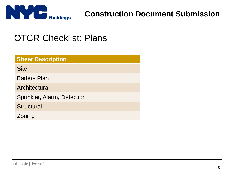

## OTCR Checklist: Plans

| <b>Sheet Description</b>    |
|-----------------------------|
| <b>Site</b>                 |
| <b>Battery Plan</b>         |
| Architectural               |
| Sprinkler, Alarm, Detection |
| <b>Structural</b>           |
| Zoning                      |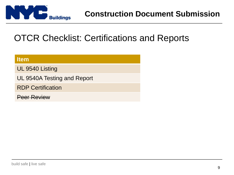

## OTCR Checklist: Certifications and Reports

| <b>Item</b>                 |
|-----------------------------|
| UL 9540 Listing             |
| UL 9540A Testing and Report |
| <b>RDP Certification</b>    |
| <b>Peer Review</b>          |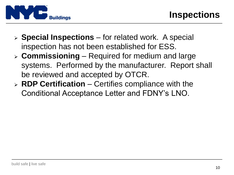

- ➢ **Special Inspections**  for related work. A special inspection has not been established for ESS.
- ➢ **Commissioning**  Required for medium and large systems. Performed by the manufacturer. Report shall be reviewed and accepted by OTCR.
- ➢ **RDP Certification**  Certifies compliance with the Conditional Acceptance Letter and FDNY's LNO.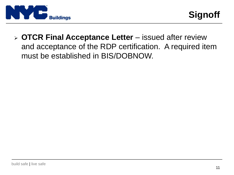

➢ **OTCR Final Acceptance Letter** – issued after review and acceptance of the RDP certification. A required item must be established in BIS/DOBNOW.